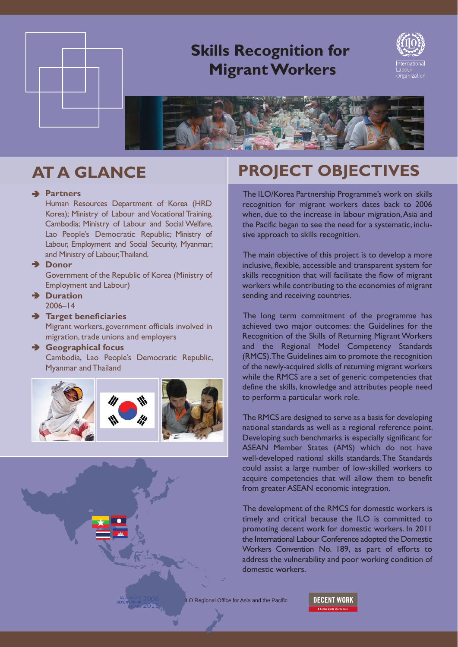

## **Skills Recognition for Migrant Workers**





### **Partners**

Human Resources Department of Korea (HRD Korea); Ministry of Labour and Vocational Training, Cambodia; Ministry of Labour and Social Welfare, Lao People's Democratic Republic; Ministry of Labour, Employment and Social Security, Myanmar; and Ministry of Labour, Thailand.

### **→ Donor**

Government of the Republic of Korea (Ministry of Employment and Labour)

**Duration** 2006–14

### **Target beneficiaries**

Migrant workers, government officials involved in migration, trade unions and employers

### **Geographical focus** Cambodia, Lao People's Democratic Republic, Myanmar and Thailand



# **AT A GLANCE PROJECT OBJECTIVES**

The ILO/Korea Partnership Programme's work on skills recognition for migrant workers dates back to 2006 when, due to the increase in labour migration, Asia and the Pacific began to see the need for a systematic, inclusive approach to skills recognition.

The main objective of this project is to develop a more inclusive, flexible, accessible and transparent system for skills recognition that will facilitate the flow of migrant workers while contributing to the economies of migrant sending and receiving countries.

The long term commitment of the programme has achieved two major outcomes: the Guidelines for the Recognition of the Skills of Returning Migrant Workers and the Regional Model Competency Standards (RMCS). The Guidelines aim to promote the recognition of the newly-acquired skills of returning migrant workers while the RMCS are a set of generic competencies that define the skills, knowledge and attributes people need to perform a particular work role.

The RMCS are designed to serve as a basis for developing national standards as well as a regional reference point. Developing such benchmarks is especially significant for ASEAN Member States (AMS) which do not have well-developed national skills standards. The Standards could assist a large number of low-skilled workers to acquire competencies that will allow them to benefit from greater ASEAN economic integration.

The development of the RMCS for domestic workers is timely and critical because the ILO is committed to promoting decent work for domestic workers. In 2011 the International Labour Conference adopted the Domestic Workers Convention No. 189, as part of efforts to address the vulnerability and poor working condition of domestic workers.

ILO Regional Office for Asia and the Pacific

**DECENT WORK**